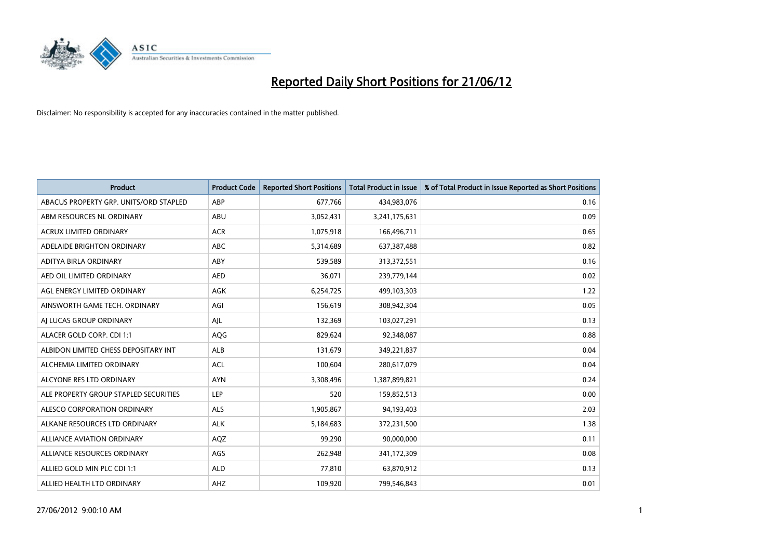

| <b>Product</b>                         | <b>Product Code</b> | <b>Reported Short Positions</b> | <b>Total Product in Issue</b> | % of Total Product in Issue Reported as Short Positions |
|----------------------------------------|---------------------|---------------------------------|-------------------------------|---------------------------------------------------------|
| ABACUS PROPERTY GRP. UNITS/ORD STAPLED | ABP                 | 677,766                         | 434,983,076                   | 0.16                                                    |
| ABM RESOURCES NL ORDINARY              | ABU                 | 3,052,431                       | 3,241,175,631                 | 0.09                                                    |
| <b>ACRUX LIMITED ORDINARY</b>          | <b>ACR</b>          | 1,075,918                       | 166,496,711                   | 0.65                                                    |
| ADELAIDE BRIGHTON ORDINARY             | <b>ABC</b>          | 5,314,689                       | 637,387,488                   | 0.82                                                    |
| ADITYA BIRLA ORDINARY                  | ABY                 | 539,589                         | 313,372,551                   | 0.16                                                    |
| AED OIL LIMITED ORDINARY               | <b>AED</b>          | 36,071                          | 239,779,144                   | 0.02                                                    |
| AGL ENERGY LIMITED ORDINARY            | AGK                 | 6,254,725                       | 499,103,303                   | 1.22                                                    |
| AINSWORTH GAME TECH. ORDINARY          | AGI                 | 156,619                         | 308,942,304                   | 0.05                                                    |
| AI LUCAS GROUP ORDINARY                | AJL                 | 132,369                         | 103,027,291                   | 0.13                                                    |
| ALACER GOLD CORP. CDI 1:1              | AQG                 | 829,624                         | 92,348,087                    | 0.88                                                    |
| ALBIDON LIMITED CHESS DEPOSITARY INT   | ALB                 | 131,679                         | 349,221,837                   | 0.04                                                    |
| ALCHEMIA LIMITED ORDINARY              | <b>ACL</b>          | 100,604                         | 280,617,079                   | 0.04                                                    |
| ALCYONE RES LTD ORDINARY               | <b>AYN</b>          | 3,308,496                       | 1,387,899,821                 | 0.24                                                    |
| ALE PROPERTY GROUP STAPLED SECURITIES  | LEP                 | 520                             | 159,852,513                   | 0.00                                                    |
| ALESCO CORPORATION ORDINARY            | <b>ALS</b>          | 1,905,867                       | 94,193,403                    | 2.03                                                    |
| ALKANE RESOURCES LTD ORDINARY          | <b>ALK</b>          | 5,184,683                       | 372,231,500                   | 1.38                                                    |
| ALLIANCE AVIATION ORDINARY             | AQZ                 | 99,290                          | 90,000,000                    | 0.11                                                    |
| ALLIANCE RESOURCES ORDINARY            | AGS                 | 262,948                         | 341,172,309                   | 0.08                                                    |
| ALLIED GOLD MIN PLC CDI 1:1            | <b>ALD</b>          | 77,810                          | 63,870,912                    | 0.13                                                    |
| ALLIED HEALTH LTD ORDINARY             | AHZ                 | 109,920                         | 799,546,843                   | 0.01                                                    |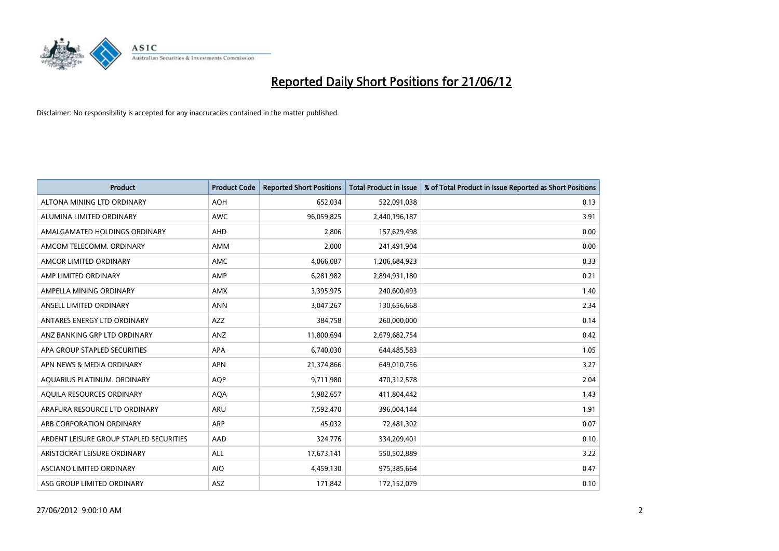

| <b>Product</b>                          | <b>Product Code</b> | <b>Reported Short Positions</b> | <b>Total Product in Issue</b> | % of Total Product in Issue Reported as Short Positions |
|-----------------------------------------|---------------------|---------------------------------|-------------------------------|---------------------------------------------------------|
| ALTONA MINING LTD ORDINARY              | <b>AOH</b>          | 652,034                         | 522,091,038                   | 0.13                                                    |
| ALUMINA LIMITED ORDINARY                | AWC                 | 96,059,825                      | 2,440,196,187                 | 3.91                                                    |
| AMALGAMATED HOLDINGS ORDINARY           | AHD                 | 2,806                           | 157,629,498                   | 0.00                                                    |
| AMCOM TELECOMM, ORDINARY                | AMM                 | 2,000                           | 241,491,904                   | 0.00                                                    |
| AMCOR LIMITED ORDINARY                  | AMC                 | 4,066,087                       | 1,206,684,923                 | 0.33                                                    |
| AMP LIMITED ORDINARY                    | AMP                 | 6,281,982                       | 2,894,931,180                 | 0.21                                                    |
| AMPELLA MINING ORDINARY                 | AMX                 | 3,395,975                       | 240,600,493                   | 1.40                                                    |
| ANSELL LIMITED ORDINARY                 | <b>ANN</b>          | 3,047,267                       | 130,656,668                   | 2.34                                                    |
| ANTARES ENERGY LTD ORDINARY             | <b>AZZ</b>          | 384,758                         | 260,000,000                   | 0.14                                                    |
| ANZ BANKING GRP LTD ORDINARY            | ANZ                 | 11,800,694                      | 2,679,682,754                 | 0.42                                                    |
| APA GROUP STAPLED SECURITIES            | APA                 | 6,740,030                       | 644,485,583                   | 1.05                                                    |
| APN NEWS & MEDIA ORDINARY               | <b>APN</b>          | 21,374,866                      | 649,010,756                   | 3.27                                                    |
| AQUARIUS PLATINUM. ORDINARY             | <b>AOP</b>          | 9,711,980                       | 470,312,578                   | 2.04                                                    |
| AOUILA RESOURCES ORDINARY               | <b>AQA</b>          | 5,982,657                       | 411,804,442                   | 1.43                                                    |
| ARAFURA RESOURCE LTD ORDINARY           | ARU                 | 7,592,470                       | 396,004,144                   | 1.91                                                    |
| ARB CORPORATION ORDINARY                | ARP                 | 45,032                          | 72,481,302                    | 0.07                                                    |
| ARDENT LEISURE GROUP STAPLED SECURITIES | AAD                 | 324,776                         | 334,209,401                   | 0.10                                                    |
| ARISTOCRAT LEISURE ORDINARY             | ALL                 | 17,673,141                      | 550,502,889                   | 3.22                                                    |
| ASCIANO LIMITED ORDINARY                | <b>AIO</b>          | 4,459,130                       | 975,385,664                   | 0.47                                                    |
| ASG GROUP LIMITED ORDINARY              | ASZ                 | 171,842                         | 172,152,079                   | 0.10                                                    |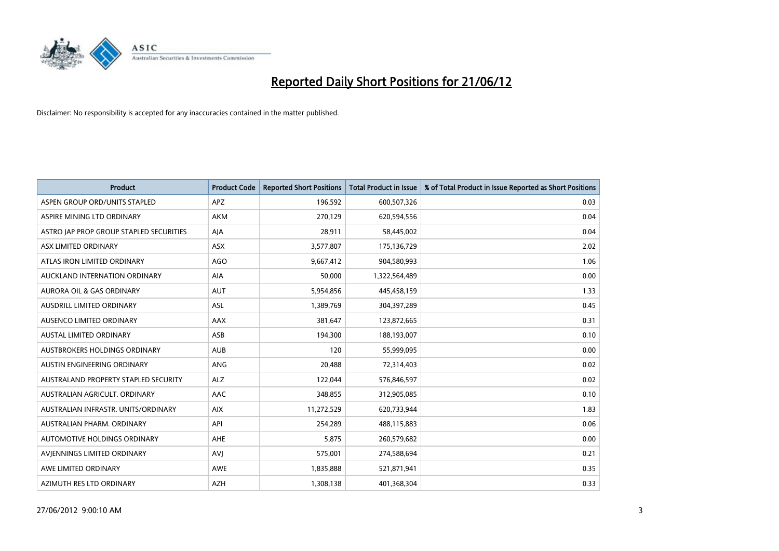

| <b>Product</b>                          | <b>Product Code</b> | <b>Reported Short Positions</b> | <b>Total Product in Issue</b> | % of Total Product in Issue Reported as Short Positions |
|-----------------------------------------|---------------------|---------------------------------|-------------------------------|---------------------------------------------------------|
| ASPEN GROUP ORD/UNITS STAPLED           | <b>APZ</b>          | 196,592                         | 600,507,326                   | 0.03                                                    |
| ASPIRE MINING LTD ORDINARY              | <b>AKM</b>          | 270,129                         | 620,594,556                   | 0.04                                                    |
| ASTRO JAP PROP GROUP STAPLED SECURITIES | AJA                 | 28,911                          | 58,445,002                    | 0.04                                                    |
| ASX LIMITED ORDINARY                    | ASX                 | 3,577,807                       | 175,136,729                   | 2.02                                                    |
| ATLAS IRON LIMITED ORDINARY             | <b>AGO</b>          | 9,667,412                       | 904,580,993                   | 1.06                                                    |
| AUCKLAND INTERNATION ORDINARY           | <b>AIA</b>          | 50,000                          | 1,322,564,489                 | 0.00                                                    |
| <b>AURORA OIL &amp; GAS ORDINARY</b>    | <b>AUT</b>          | 5,954,856                       | 445,458,159                   | 1.33                                                    |
| AUSDRILL LIMITED ORDINARY               | ASL                 | 1,389,769                       | 304,397,289                   | 0.45                                                    |
| AUSENCO LIMITED ORDINARY                | AAX                 | 381,647                         | 123,872,665                   | 0.31                                                    |
| <b>AUSTAL LIMITED ORDINARY</b>          | ASB                 | 194,300                         | 188,193,007                   | 0.10                                                    |
| AUSTBROKERS HOLDINGS ORDINARY           | <b>AUB</b>          | 120                             | 55,999,095                    | 0.00                                                    |
| AUSTIN ENGINEERING ORDINARY             | ANG                 | 20,488                          | 72,314,403                    | 0.02                                                    |
| AUSTRALAND PROPERTY STAPLED SECURITY    | <b>ALZ</b>          | 122,044                         | 576,846,597                   | 0.02                                                    |
| AUSTRALIAN AGRICULT, ORDINARY           | AAC                 | 348,855                         | 312,905,085                   | 0.10                                                    |
| AUSTRALIAN INFRASTR, UNITS/ORDINARY     | <b>AIX</b>          | 11,272,529                      | 620,733,944                   | 1.83                                                    |
| AUSTRALIAN PHARM. ORDINARY              | API                 | 254,289                         | 488,115,883                   | 0.06                                                    |
| AUTOMOTIVE HOLDINGS ORDINARY            | AHE                 | 5,875                           | 260,579,682                   | 0.00                                                    |
| AVIENNINGS LIMITED ORDINARY             | <b>AVJ</b>          | 575,001                         | 274,588,694                   | 0.21                                                    |
| AWE LIMITED ORDINARY                    | <b>AWE</b>          | 1,835,888                       | 521,871,941                   | 0.35                                                    |
| AZIMUTH RES LTD ORDINARY                | <b>AZH</b>          | 1,308,138                       | 401,368,304                   | 0.33                                                    |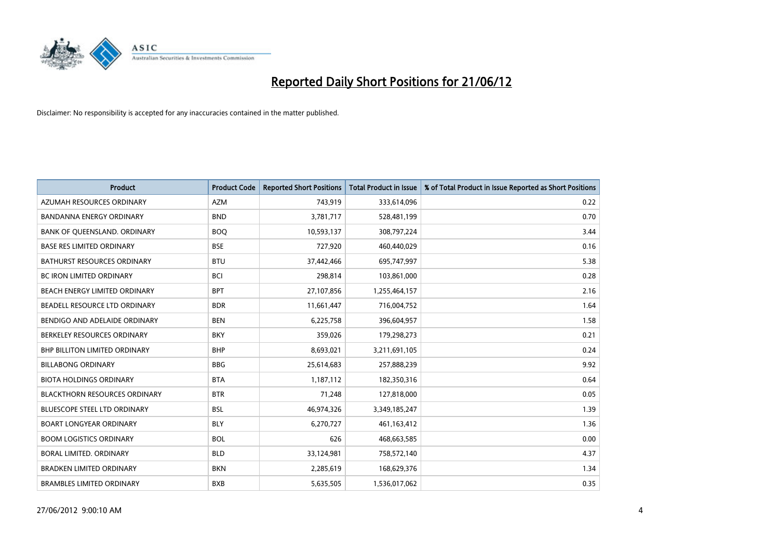

| <b>Product</b>                       | <b>Product Code</b> | <b>Reported Short Positions</b> | <b>Total Product in Issue</b> | % of Total Product in Issue Reported as Short Positions |
|--------------------------------------|---------------------|---------------------------------|-------------------------------|---------------------------------------------------------|
| AZUMAH RESOURCES ORDINARY            | <b>AZM</b>          | 743,919                         | 333,614,096                   | 0.22                                                    |
| BANDANNA ENERGY ORDINARY             | <b>BND</b>          | 3,781,717                       | 528,481,199                   | 0.70                                                    |
| BANK OF QUEENSLAND. ORDINARY         | <b>BOQ</b>          | 10,593,137                      | 308,797,224                   | 3.44                                                    |
| <b>BASE RES LIMITED ORDINARY</b>     | <b>BSE</b>          | 727,920                         | 460,440,029                   | 0.16                                                    |
| <b>BATHURST RESOURCES ORDINARY</b>   | <b>BTU</b>          | 37,442,466                      | 695,747,997                   | 5.38                                                    |
| <b>BC IRON LIMITED ORDINARY</b>      | <b>BCI</b>          | 298,814                         | 103,861,000                   | 0.28                                                    |
| <b>BEACH ENERGY LIMITED ORDINARY</b> | <b>BPT</b>          | 27,107,856                      | 1,255,464,157                 | 2.16                                                    |
| BEADELL RESOURCE LTD ORDINARY        | <b>BDR</b>          | 11,661,447                      | 716,004,752                   | 1.64                                                    |
| BENDIGO AND ADELAIDE ORDINARY        | <b>BEN</b>          | 6,225,758                       | 396,604,957                   | 1.58                                                    |
| BERKELEY RESOURCES ORDINARY          | <b>BKY</b>          | 359,026                         | 179,298,273                   | 0.21                                                    |
| BHP BILLITON LIMITED ORDINARY        | <b>BHP</b>          | 8,693,021                       | 3,211,691,105                 | 0.24                                                    |
| <b>BILLABONG ORDINARY</b>            | <b>BBG</b>          | 25,614,683                      | 257,888,239                   | 9.92                                                    |
| <b>BIOTA HOLDINGS ORDINARY</b>       | <b>BTA</b>          | 1,187,112                       | 182,350,316                   | 0.64                                                    |
| <b>BLACKTHORN RESOURCES ORDINARY</b> | <b>BTR</b>          | 71,248                          | 127,818,000                   | 0.05                                                    |
| <b>BLUESCOPE STEEL LTD ORDINARY</b>  | <b>BSL</b>          | 46,974,326                      | 3,349,185,247                 | 1.39                                                    |
| <b>BOART LONGYEAR ORDINARY</b>       | <b>BLY</b>          | 6,270,727                       | 461,163,412                   | 1.36                                                    |
| <b>BOOM LOGISTICS ORDINARY</b>       | <b>BOL</b>          | 626                             | 468,663,585                   | 0.00                                                    |
| <b>BORAL LIMITED, ORDINARY</b>       | <b>BLD</b>          | 33,124,981                      | 758,572,140                   | 4.37                                                    |
| <b>BRADKEN LIMITED ORDINARY</b>      | <b>BKN</b>          | 2,285,619                       | 168,629,376                   | 1.34                                                    |
| <b>BRAMBLES LIMITED ORDINARY</b>     | <b>BXB</b>          | 5,635,505                       | 1,536,017,062                 | 0.35                                                    |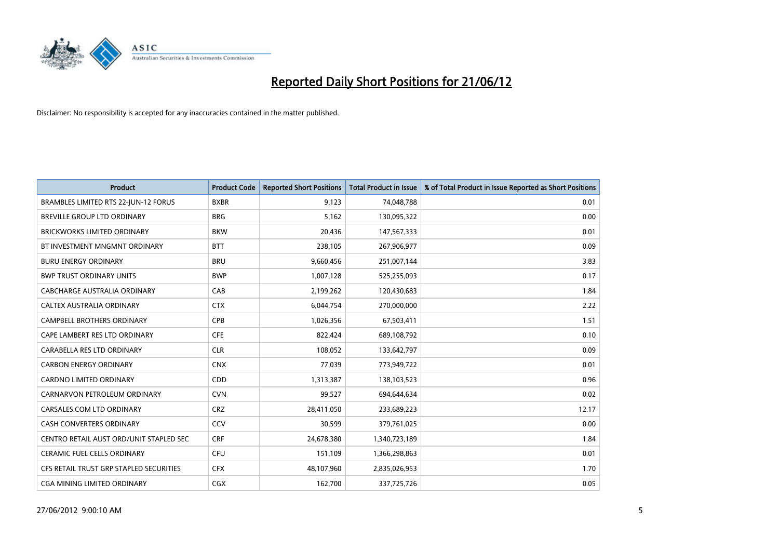

| <b>Product</b>                          | <b>Product Code</b> | <b>Reported Short Positions</b> | <b>Total Product in Issue</b> | % of Total Product in Issue Reported as Short Positions |
|-----------------------------------------|---------------------|---------------------------------|-------------------------------|---------------------------------------------------------|
| BRAMBLES LIMITED RTS 22-JUN-12 FORUS    | <b>BXBR</b>         | 9,123                           | 74,048,788                    | 0.01                                                    |
| BREVILLE GROUP LTD ORDINARY             | <b>BRG</b>          | 5,162                           | 130,095,322                   | 0.00                                                    |
| <b>BRICKWORKS LIMITED ORDINARY</b>      | <b>BKW</b>          | 20,436                          | 147,567,333                   | 0.01                                                    |
| BT INVESTMENT MNGMNT ORDINARY           | <b>BTT</b>          | 238,105                         | 267,906,977                   | 0.09                                                    |
| <b>BURU ENERGY ORDINARY</b>             | <b>BRU</b>          | 9,660,456                       | 251,007,144                   | 3.83                                                    |
| <b>BWP TRUST ORDINARY UNITS</b>         | <b>BWP</b>          | 1,007,128                       | 525,255,093                   | 0.17                                                    |
| CABCHARGE AUSTRALIA ORDINARY            | CAB                 | 2,199,262                       | 120,430,683                   | 1.84                                                    |
| CALTEX AUSTRALIA ORDINARY               | <b>CTX</b>          | 6,044,754                       | 270,000,000                   | 2.22                                                    |
| CAMPBELL BROTHERS ORDINARY              | <b>CPB</b>          | 1,026,356                       | 67,503,411                    | 1.51                                                    |
| CAPE LAMBERT RES LTD ORDINARY           | <b>CFE</b>          | 822,424                         | 689,108,792                   | 0.10                                                    |
| CARABELLA RES LTD ORDINARY              | <b>CLR</b>          | 108,052                         | 133,642,797                   | 0.09                                                    |
| <b>CARBON ENERGY ORDINARY</b>           | <b>CNX</b>          | 77,039                          | 773,949,722                   | 0.01                                                    |
| CARDNO LIMITED ORDINARY                 | CDD                 | 1,313,387                       | 138,103,523                   | 0.96                                                    |
| CARNARVON PETROLEUM ORDINARY            | <b>CVN</b>          | 99,527                          | 694,644,634                   | 0.02                                                    |
| CARSALES.COM LTD ORDINARY               | <b>CRZ</b>          | 28,411,050                      | 233,689,223                   | 12.17                                                   |
| <b>CASH CONVERTERS ORDINARY</b>         | CCV                 | 30,599                          | 379,761,025                   | 0.00                                                    |
| CENTRO RETAIL AUST ORD/UNIT STAPLED SEC | <b>CRF</b>          | 24,678,380                      | 1,340,723,189                 | 1.84                                                    |
| CERAMIC FUEL CELLS ORDINARY             | <b>CFU</b>          | 151,109                         | 1,366,298,863                 | 0.01                                                    |
| CFS RETAIL TRUST GRP STAPLED SECURITIES | <b>CFX</b>          | 48,107,960                      | 2,835,026,953                 | 1.70                                                    |
| <b>CGA MINING LIMITED ORDINARY</b>      | <b>CGX</b>          | 162,700                         | 337,725,726                   | 0.05                                                    |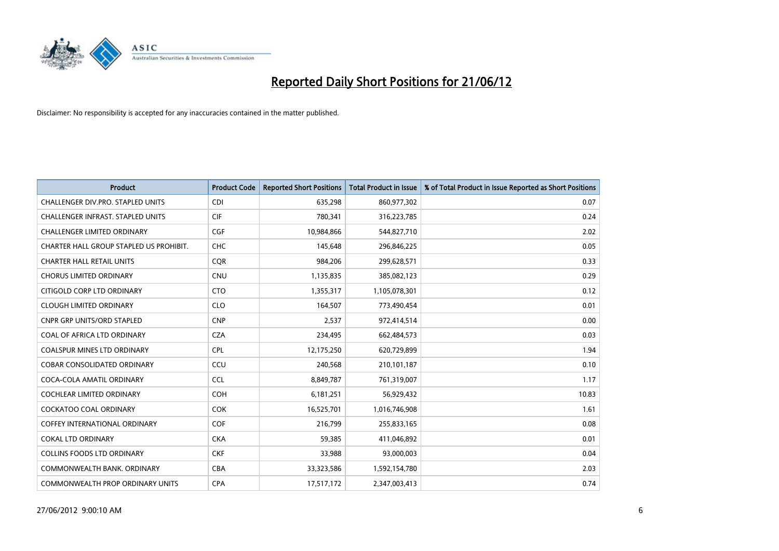

| <b>Product</b>                          | <b>Product Code</b> | <b>Reported Short Positions</b> | <b>Total Product in Issue</b> | % of Total Product in Issue Reported as Short Positions |
|-----------------------------------------|---------------------|---------------------------------|-------------------------------|---------------------------------------------------------|
| CHALLENGER DIV.PRO. STAPLED UNITS       | <b>CDI</b>          | 635,298                         | 860,977,302                   | 0.07                                                    |
| CHALLENGER INFRAST. STAPLED UNITS       | <b>CIF</b>          | 780,341                         | 316,223,785                   | 0.24                                                    |
| <b>CHALLENGER LIMITED ORDINARY</b>      | <b>CGF</b>          | 10,984,866                      | 544,827,710                   | 2.02                                                    |
| CHARTER HALL GROUP STAPLED US PROHIBIT. | <b>CHC</b>          | 145,648                         | 296,846,225                   | 0.05                                                    |
| <b>CHARTER HALL RETAIL UNITS</b>        | <b>COR</b>          | 984,206                         | 299,628,571                   | 0.33                                                    |
| <b>CHORUS LIMITED ORDINARY</b>          | CNU                 | 1,135,835                       | 385,082,123                   | 0.29                                                    |
| CITIGOLD CORP LTD ORDINARY              | <b>CTO</b>          | 1,355,317                       | 1,105,078,301                 | 0.12                                                    |
| <b>CLOUGH LIMITED ORDINARY</b>          | <b>CLO</b>          | 164,507                         | 773,490,454                   | 0.01                                                    |
| <b>CNPR GRP UNITS/ORD STAPLED</b>       | <b>CNP</b>          | 2,537                           | 972,414,514                   | 0.00                                                    |
| COAL OF AFRICA LTD ORDINARY             | <b>CZA</b>          | 234,495                         | 662,484,573                   | 0.03                                                    |
| COALSPUR MINES LTD ORDINARY             | <b>CPL</b>          | 12,175,250                      | 620,729,899                   | 1.94                                                    |
| <b>COBAR CONSOLIDATED ORDINARY</b>      | CCU                 | 240,568                         | 210,101,187                   | 0.10                                                    |
| COCA-COLA AMATIL ORDINARY               | <b>CCL</b>          | 8,849,787                       | 761,319,007                   | 1.17                                                    |
| <b>COCHLEAR LIMITED ORDINARY</b>        | <b>COH</b>          | 6,181,251                       | 56,929,432                    | 10.83                                                   |
| <b>COCKATOO COAL ORDINARY</b>           | <b>COK</b>          | 16,525,701                      | 1,016,746,908                 | 1.61                                                    |
| <b>COFFEY INTERNATIONAL ORDINARY</b>    | <b>COF</b>          | 216,799                         | 255,833,165                   | 0.08                                                    |
| <b>COKAL LTD ORDINARY</b>               | <b>CKA</b>          | 59,385                          | 411,046,892                   | 0.01                                                    |
| <b>COLLINS FOODS LTD ORDINARY</b>       | <b>CKF</b>          | 33,988                          | 93,000,003                    | 0.04                                                    |
| COMMONWEALTH BANK, ORDINARY             | <b>CBA</b>          | 33,323,586                      | 1,592,154,780                 | 2.03                                                    |
| COMMONWEALTH PROP ORDINARY UNITS        | <b>CPA</b>          | 17,517,172                      | 2,347,003,413                 | 0.74                                                    |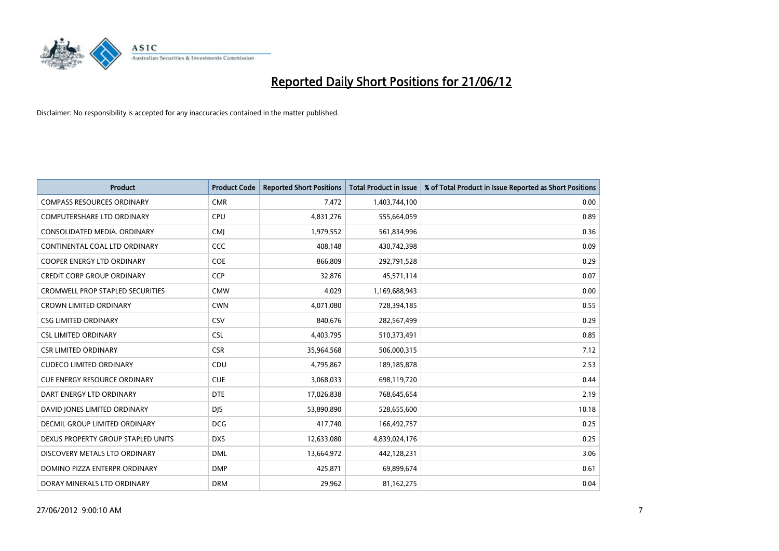

| <b>Product</b>                          | <b>Product Code</b> | <b>Reported Short Positions</b> | <b>Total Product in Issue</b> | % of Total Product in Issue Reported as Short Positions |
|-----------------------------------------|---------------------|---------------------------------|-------------------------------|---------------------------------------------------------|
| <b>COMPASS RESOURCES ORDINARY</b>       | <b>CMR</b>          | 7,472                           | 1,403,744,100                 | 0.00                                                    |
| COMPUTERSHARE LTD ORDINARY              | <b>CPU</b>          | 4,831,276                       | 555,664,059                   | 0.89                                                    |
| CONSOLIDATED MEDIA, ORDINARY            | <b>CMI</b>          | 1,979,552                       | 561,834,996                   | 0.36                                                    |
| CONTINENTAL COAL LTD ORDINARY           | CCC                 | 408.148                         | 430,742,398                   | 0.09                                                    |
| <b>COOPER ENERGY LTD ORDINARY</b>       | <b>COE</b>          | 866,809                         | 292,791,528                   | 0.29                                                    |
| <b>CREDIT CORP GROUP ORDINARY</b>       | <b>CCP</b>          | 32,876                          | 45,571,114                    | 0.07                                                    |
| <b>CROMWELL PROP STAPLED SECURITIES</b> | <b>CMW</b>          | 4,029                           | 1,169,688,943                 | 0.00                                                    |
| <b>CROWN LIMITED ORDINARY</b>           | <b>CWN</b>          | 4,071,080                       | 728,394,185                   | 0.55                                                    |
| <b>CSG LIMITED ORDINARY</b>             | CSV                 | 840,676                         | 282,567,499                   | 0.29                                                    |
| <b>CSL LIMITED ORDINARY</b>             | <b>CSL</b>          | 4,403,795                       | 510,373,491                   | 0.85                                                    |
| <b>CSR LIMITED ORDINARY</b>             | <b>CSR</b>          | 35,964,568                      | 506,000,315                   | 7.12                                                    |
| <b>CUDECO LIMITED ORDINARY</b>          | CDU                 | 4,795,867                       | 189, 185, 878                 | 2.53                                                    |
| CUE ENERGY RESOURCE ORDINARY            | <b>CUE</b>          | 3,068,033                       | 698,119,720                   | 0.44                                                    |
| DART ENERGY LTD ORDINARY                | <b>DTE</b>          | 17,026,838                      | 768,645,654                   | 2.19                                                    |
| DAVID JONES LIMITED ORDINARY            | <b>DJS</b>          | 53,890,890                      | 528,655,600                   | 10.18                                                   |
| <b>DECMIL GROUP LIMITED ORDINARY</b>    | <b>DCG</b>          | 417,740                         | 166,492,757                   | 0.25                                                    |
| DEXUS PROPERTY GROUP STAPLED UNITS      | <b>DXS</b>          | 12,633,080                      | 4,839,024,176                 | 0.25                                                    |
| DISCOVERY METALS LTD ORDINARY           | <b>DML</b>          | 13,664,972                      | 442,128,231                   | 3.06                                                    |
| DOMINO PIZZA ENTERPR ORDINARY           | <b>DMP</b>          | 425,871                         | 69,899,674                    | 0.61                                                    |
| DORAY MINERALS LTD ORDINARY             | <b>DRM</b>          | 29,962                          | 81,162,275                    | 0.04                                                    |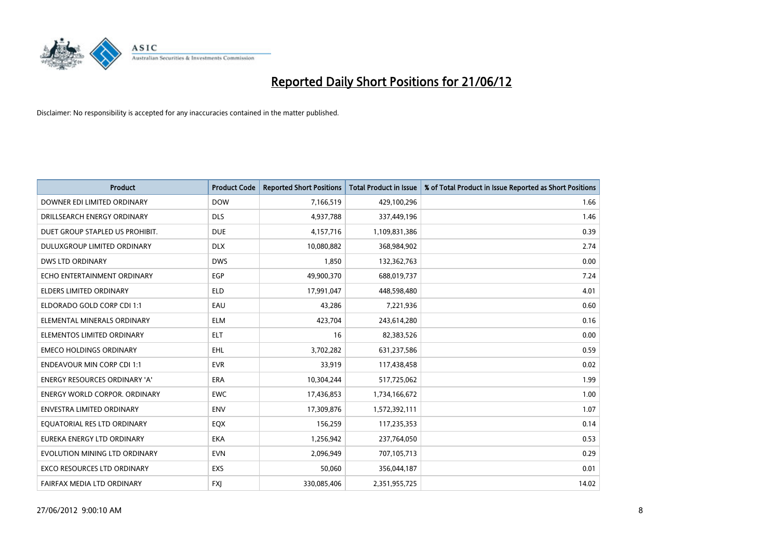

| <b>Product</b>                       | <b>Product Code</b> | <b>Reported Short Positions</b> | <b>Total Product in Issue</b> | % of Total Product in Issue Reported as Short Positions |
|--------------------------------------|---------------------|---------------------------------|-------------------------------|---------------------------------------------------------|
| DOWNER EDI LIMITED ORDINARY          | <b>DOW</b>          | 7,166,519                       | 429,100,296                   | 1.66                                                    |
| DRILLSEARCH ENERGY ORDINARY          | <b>DLS</b>          | 4,937,788                       | 337,449,196                   | 1.46                                                    |
| DUET GROUP STAPLED US PROHIBIT.      | <b>DUE</b>          | 4,157,716                       | 1,109,831,386                 | 0.39                                                    |
| DULUXGROUP LIMITED ORDINARY          | <b>DLX</b>          | 10,080,882                      | 368,984,902                   | 2.74                                                    |
| <b>DWS LTD ORDINARY</b>              | <b>DWS</b>          | 1,850                           | 132,362,763                   | 0.00                                                    |
| ECHO ENTERTAINMENT ORDINARY          | EGP                 | 49,900,370                      | 688,019,737                   | 7.24                                                    |
| <b>ELDERS LIMITED ORDINARY</b>       | <b>ELD</b>          | 17,991,047                      | 448,598,480                   | 4.01                                                    |
| ELDORADO GOLD CORP CDI 1:1           | EAU                 | 43,286                          | 7,221,936                     | 0.60                                                    |
| ELEMENTAL MINERALS ORDINARY          | <b>ELM</b>          | 423,704                         | 243,614,280                   | 0.16                                                    |
| ELEMENTOS LIMITED ORDINARY           | <b>ELT</b>          | 16                              | 82,383,526                    | 0.00                                                    |
| <b>EMECO HOLDINGS ORDINARY</b>       | EHL                 | 3,702,282                       | 631,237,586                   | 0.59                                                    |
| <b>ENDEAVOUR MIN CORP CDI 1:1</b>    | <b>EVR</b>          | 33,919                          | 117,438,458                   | 0.02                                                    |
| ENERGY RESOURCES ORDINARY 'A'        | <b>ERA</b>          | 10,304,244                      | 517,725,062                   | 1.99                                                    |
| <b>ENERGY WORLD CORPOR, ORDINARY</b> | <b>EWC</b>          | 17,436,853                      | 1,734,166,672                 | 1.00                                                    |
| <b>ENVESTRA LIMITED ORDINARY</b>     | <b>ENV</b>          | 17,309,876                      | 1,572,392,111                 | 1.07                                                    |
| EQUATORIAL RES LTD ORDINARY          | EQX                 | 156,259                         | 117,235,353                   | 0.14                                                    |
| EUREKA ENERGY LTD ORDINARY           | EKA                 | 1,256,942                       | 237,764,050                   | 0.53                                                    |
| EVOLUTION MINING LTD ORDINARY        | <b>EVN</b>          | 2,096,949                       | 707,105,713                   | 0.29                                                    |
| <b>EXCO RESOURCES LTD ORDINARY</b>   | EXS                 | 50,060                          | 356,044,187                   | 0.01                                                    |
| FAIRFAX MEDIA LTD ORDINARY           | <b>FXJ</b>          | 330,085,406                     | 2,351,955,725                 | 14.02                                                   |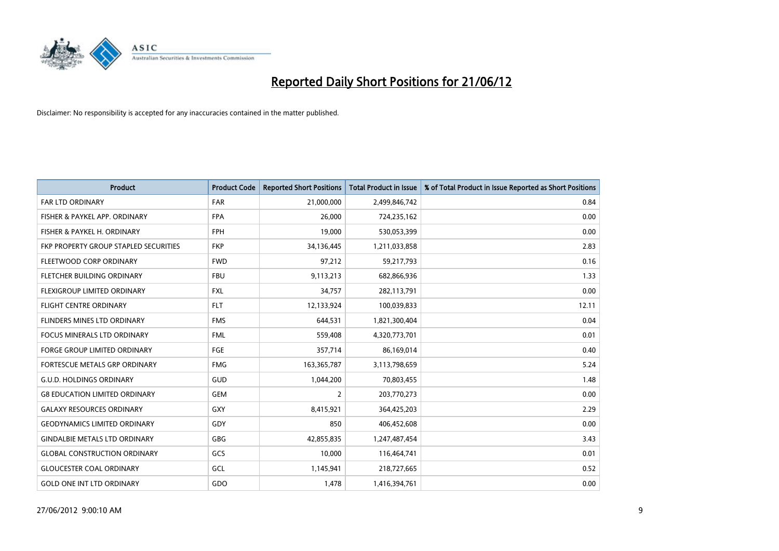

| <b>Product</b>                        | <b>Product Code</b> | <b>Reported Short Positions</b> | <b>Total Product in Issue</b> | % of Total Product in Issue Reported as Short Positions |
|---------------------------------------|---------------------|---------------------------------|-------------------------------|---------------------------------------------------------|
| <b>FAR LTD ORDINARY</b>               | <b>FAR</b>          | 21,000,000                      | 2,499,846,742                 | 0.84                                                    |
| FISHER & PAYKEL APP. ORDINARY         | <b>FPA</b>          | 26,000                          | 724,235,162                   | 0.00                                                    |
| FISHER & PAYKEL H. ORDINARY           | <b>FPH</b>          | 19,000                          | 530,053,399                   | 0.00                                                    |
| FKP PROPERTY GROUP STAPLED SECURITIES | <b>FKP</b>          | 34,136,445                      | 1,211,033,858                 | 2.83                                                    |
| FLEETWOOD CORP ORDINARY               | <b>FWD</b>          | 97,212                          | 59,217,793                    | 0.16                                                    |
| FLETCHER BUILDING ORDINARY            | <b>FBU</b>          | 9,113,213                       | 682,866,936                   | 1.33                                                    |
| <b>FLEXIGROUP LIMITED ORDINARY</b>    | <b>FXL</b>          | 34,757                          | 282,113,791                   | 0.00                                                    |
| FLIGHT CENTRE ORDINARY                | <b>FLT</b>          | 12,133,924                      | 100,039,833                   | 12.11                                                   |
| FLINDERS MINES LTD ORDINARY           | <b>FMS</b>          | 644,531                         | 1,821,300,404                 | 0.04                                                    |
| <b>FOCUS MINERALS LTD ORDINARY</b>    | <b>FML</b>          | 559,408                         | 4,320,773,701                 | 0.01                                                    |
| FORGE GROUP LIMITED ORDINARY          | FGE                 | 357,714                         | 86,169,014                    | 0.40                                                    |
| <b>FORTESCUE METALS GRP ORDINARY</b>  | <b>FMG</b>          | 163,365,787                     | 3,113,798,659                 | 5.24                                                    |
| <b>G.U.D. HOLDINGS ORDINARY</b>       | GUD                 | 1,044,200                       | 70,803,455                    | 1.48                                                    |
| <b>G8 EDUCATION LIMITED ORDINARY</b>  | GEM                 | $\overline{2}$                  | 203,770,273                   | 0.00                                                    |
| <b>GALAXY RESOURCES ORDINARY</b>      | <b>GXY</b>          | 8,415,921                       | 364,425,203                   | 2.29                                                    |
| <b>GEODYNAMICS LIMITED ORDINARY</b>   | GDY                 | 850                             | 406,452,608                   | 0.00                                                    |
| <b>GINDALBIE METALS LTD ORDINARY</b>  | GBG                 | 42,855,835                      | 1,247,487,454                 | 3.43                                                    |
| <b>GLOBAL CONSTRUCTION ORDINARY</b>   | GCS                 | 10,000                          | 116,464,741                   | 0.01                                                    |
| <b>GLOUCESTER COAL ORDINARY</b>       | GCL                 | 1,145,941                       | 218,727,665                   | 0.52                                                    |
| <b>GOLD ONE INT LTD ORDINARY</b>      | GDO                 | 1,478                           | 1,416,394,761                 | 0.00                                                    |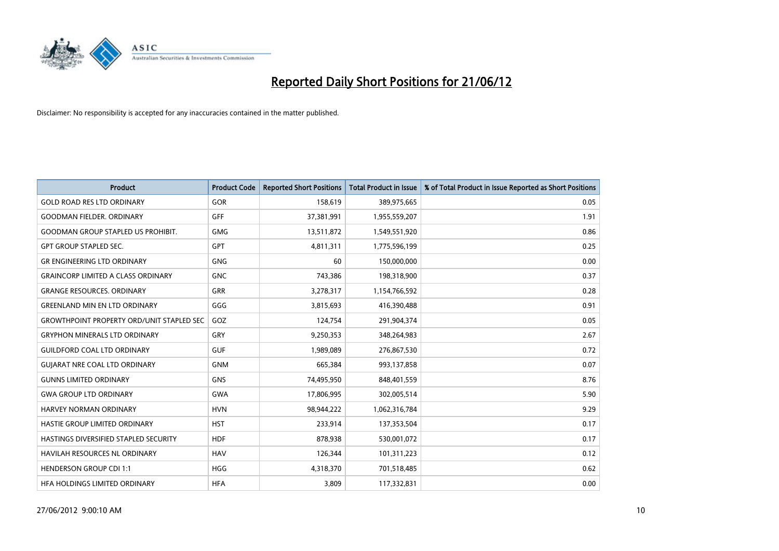

| <b>Product</b>                                   | <b>Product Code</b> | <b>Reported Short Positions</b> | <b>Total Product in Issue</b> | % of Total Product in Issue Reported as Short Positions |
|--------------------------------------------------|---------------------|---------------------------------|-------------------------------|---------------------------------------------------------|
| <b>GOLD ROAD RES LTD ORDINARY</b>                | GOR                 | 158,619                         | 389,975,665                   | 0.05                                                    |
| <b>GOODMAN FIELDER, ORDINARY</b>                 | GFF                 | 37,381,991                      | 1,955,559,207                 | 1.91                                                    |
| <b>GOODMAN GROUP STAPLED US PROHIBIT.</b>        | <b>GMG</b>          | 13,511,872                      | 1,549,551,920                 | 0.86                                                    |
| <b>GPT GROUP STAPLED SEC.</b>                    | GPT                 | 4,811,311                       | 1,775,596,199                 | 0.25                                                    |
| <b>GR ENGINEERING LTD ORDINARY</b>               | <b>GNG</b>          | 60                              | 150,000,000                   | 0.00                                                    |
| <b>GRAINCORP LIMITED A CLASS ORDINARY</b>        | <b>GNC</b>          | 743,386                         | 198,318,900                   | 0.37                                                    |
| <b>GRANGE RESOURCES. ORDINARY</b>                | GRR                 | 3,278,317                       | 1,154,766,592                 | 0.28                                                    |
| <b>GREENLAND MIN EN LTD ORDINARY</b>             | GGG                 | 3,815,693                       | 416,390,488                   | 0.91                                                    |
| <b>GROWTHPOINT PROPERTY ORD/UNIT STAPLED SEC</b> | GOZ                 | 124,754                         | 291,904,374                   | 0.05                                                    |
| <b>GRYPHON MINERALS LTD ORDINARY</b>             | GRY                 | 9,250,353                       | 348,264,983                   | 2.67                                                    |
| <b>GUILDFORD COAL LTD ORDINARY</b>               | <b>GUF</b>          | 1,989,089                       | 276,867,530                   | 0.72                                                    |
| <b>GUIARAT NRE COAL LTD ORDINARY</b>             | <b>GNM</b>          | 665,384                         | 993,137,858                   | 0.07                                                    |
| <b>GUNNS LIMITED ORDINARY</b>                    | <b>GNS</b>          | 74,495,950                      | 848,401,559                   | 8.76                                                    |
| <b>GWA GROUP LTD ORDINARY</b>                    | <b>GWA</b>          | 17,806,995                      | 302,005,514                   | 5.90                                                    |
| HARVEY NORMAN ORDINARY                           | <b>HVN</b>          | 98,944,222                      | 1,062,316,784                 | 9.29                                                    |
| HASTIE GROUP LIMITED ORDINARY                    | <b>HST</b>          | 233,914                         | 137,353,504                   | 0.17                                                    |
| HASTINGS DIVERSIFIED STAPLED SECURITY            | <b>HDF</b>          | 878,938                         | 530,001,072                   | 0.17                                                    |
| HAVILAH RESOURCES NL ORDINARY                    | <b>HAV</b>          | 126,344                         | 101,311,223                   | 0.12                                                    |
| <b>HENDERSON GROUP CDI 1:1</b>                   | <b>HGG</b>          | 4,318,370                       | 701,518,485                   | 0.62                                                    |
| HEA HOLDINGS LIMITED ORDINARY                    | <b>HFA</b>          | 3,809                           | 117,332,831                   | 0.00                                                    |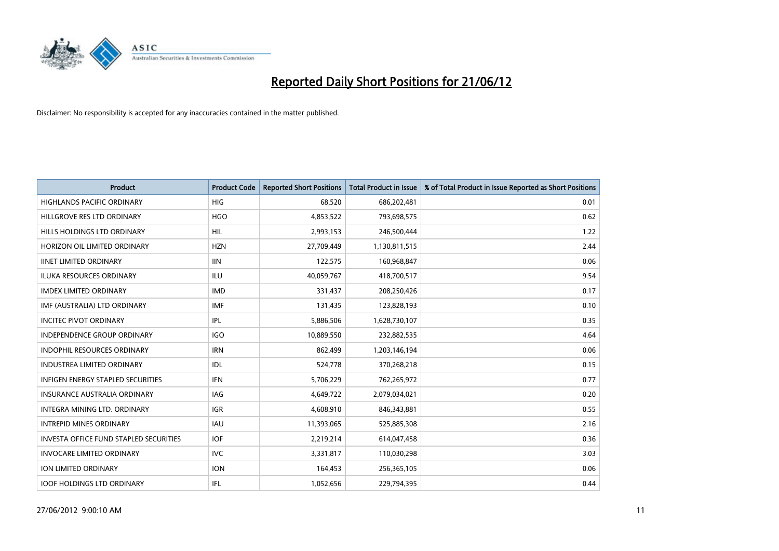

| <b>Product</b>                         | <b>Product Code</b> | <b>Reported Short Positions</b> | <b>Total Product in Issue</b> | % of Total Product in Issue Reported as Short Positions |
|----------------------------------------|---------------------|---------------------------------|-------------------------------|---------------------------------------------------------|
| <b>HIGHLANDS PACIFIC ORDINARY</b>      | <b>HIG</b>          | 68,520                          | 686,202,481                   | 0.01                                                    |
| HILLGROVE RES LTD ORDINARY             | <b>HGO</b>          | 4,853,522                       | 793,698,575                   | 0.62                                                    |
| HILLS HOLDINGS LTD ORDINARY            | <b>HIL</b>          | 2,993,153                       | 246,500,444                   | 1.22                                                    |
| HORIZON OIL LIMITED ORDINARY           | <b>HZN</b>          | 27,709,449                      | 1,130,811,515                 | 2.44                                                    |
| <b>IINET LIMITED ORDINARY</b>          | <b>IIN</b>          | 122,575                         | 160,968,847                   | 0.06                                                    |
| <b>ILUKA RESOURCES ORDINARY</b>        | <b>ILU</b>          | 40,059,767                      | 418,700,517                   | 9.54                                                    |
| <b>IMDEX LIMITED ORDINARY</b>          | <b>IMD</b>          | 331,437                         | 208,250,426                   | 0.17                                                    |
| IMF (AUSTRALIA) LTD ORDINARY           | <b>IMF</b>          | 131,435                         | 123,828,193                   | 0.10                                                    |
| <b>INCITEC PIVOT ORDINARY</b>          | IPL                 | 5,886,506                       | 1,628,730,107                 | 0.35                                                    |
| <b>INDEPENDENCE GROUP ORDINARY</b>     | <b>IGO</b>          | 10,889,550                      | 232,882,535                   | 4.64                                                    |
| INDOPHIL RESOURCES ORDINARY            | <b>IRN</b>          | 862,499                         | 1,203,146,194                 | 0.06                                                    |
| <b>INDUSTREA LIMITED ORDINARY</b>      | <b>IDL</b>          | 524,778                         | 370,268,218                   | 0.15                                                    |
| INFIGEN ENERGY STAPLED SECURITIES      | <b>IFN</b>          | 5,706,229                       | 762,265,972                   | 0.77                                                    |
| <b>INSURANCE AUSTRALIA ORDINARY</b>    | IAG                 | 4,649,722                       | 2,079,034,021                 | 0.20                                                    |
| INTEGRA MINING LTD, ORDINARY           | <b>IGR</b>          | 4,608,910                       | 846,343,881                   | 0.55                                                    |
| <b>INTREPID MINES ORDINARY</b>         | IAU                 | 11,393,065                      | 525,885,308                   | 2.16                                                    |
| INVESTA OFFICE FUND STAPLED SECURITIES | IOF                 | 2,219,214                       | 614,047,458                   | 0.36                                                    |
| <b>INVOCARE LIMITED ORDINARY</b>       | IVC.                | 3,331,817                       | 110,030,298                   | 3.03                                                    |
| <b>ION LIMITED ORDINARY</b>            | <b>ION</b>          | 164,453                         | 256,365,105                   | 0.06                                                    |
| <b>IOOF HOLDINGS LTD ORDINARY</b>      | IFL                 | 1,052,656                       | 229,794,395                   | 0.44                                                    |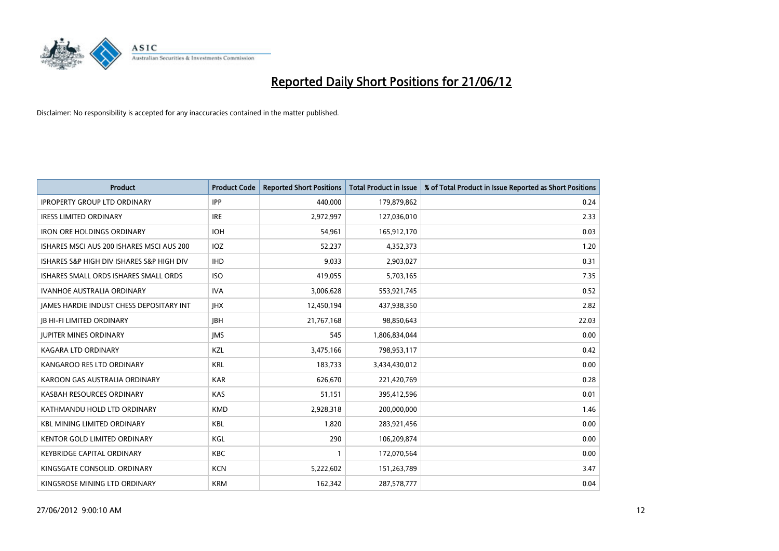

| <b>Product</b>                            | <b>Product Code</b> | <b>Reported Short Positions</b> | <b>Total Product in Issue</b> | % of Total Product in Issue Reported as Short Positions |
|-------------------------------------------|---------------------|---------------------------------|-------------------------------|---------------------------------------------------------|
| <b>IPROPERTY GROUP LTD ORDINARY</b>       | <b>IPP</b>          | 440,000                         | 179,879,862                   | 0.24                                                    |
| <b>IRESS LIMITED ORDINARY</b>             | <b>IRE</b>          | 2,972,997                       | 127,036,010                   | 2.33                                                    |
| <b>IRON ORE HOLDINGS ORDINARY</b>         | <b>IOH</b>          | 54,961                          | 165,912,170                   | 0.03                                                    |
| ISHARES MSCI AUS 200 ISHARES MSCI AUS 200 | <b>IOZ</b>          | 52,237                          | 4,352,373                     | 1.20                                                    |
| ISHARES S&P HIGH DIV ISHARES S&P HIGH DIV | <b>IHD</b>          | 9,033                           | 2,903,027                     | 0.31                                                    |
| ISHARES SMALL ORDS ISHARES SMALL ORDS     | <b>ISO</b>          | 419,055                         | 5,703,165                     | 7.35                                                    |
| <b>IVANHOE AUSTRALIA ORDINARY</b>         | <b>IVA</b>          | 3,006,628                       | 553,921,745                   | 0.52                                                    |
| JAMES HARDIE INDUST CHESS DEPOSITARY INT  | <b>IHX</b>          | 12,450,194                      | 437,938,350                   | 2.82                                                    |
| <b>JB HI-FI LIMITED ORDINARY</b>          | <b>IBH</b>          | 21,767,168                      | 98,850,643                    | 22.03                                                   |
| <b>JUPITER MINES ORDINARY</b>             | <b>IMS</b>          | 545                             | 1,806,834,044                 | 0.00                                                    |
| <b>KAGARA LTD ORDINARY</b>                | KZL                 | 3,475,166                       | 798,953,117                   | 0.42                                                    |
| KANGAROO RES LTD ORDINARY                 | <b>KRL</b>          | 183,733                         | 3,434,430,012                 | 0.00                                                    |
| KAROON GAS AUSTRALIA ORDINARY             | <b>KAR</b>          | 626,670                         | 221,420,769                   | 0.28                                                    |
| KASBAH RESOURCES ORDINARY                 | <b>KAS</b>          | 51,151                          | 395,412,596                   | 0.01                                                    |
| KATHMANDU HOLD LTD ORDINARY               | <b>KMD</b>          | 2,928,318                       | 200,000,000                   | 1.46                                                    |
| <b>KBL MINING LIMITED ORDINARY</b>        | <b>KBL</b>          | 1,820                           | 283,921,456                   | 0.00                                                    |
| KENTOR GOLD LIMITED ORDINARY              | KGL                 | 290                             | 106,209,874                   | 0.00                                                    |
| <b>KEYBRIDGE CAPITAL ORDINARY</b>         | <b>KBC</b>          | $\mathbf{1}$                    | 172,070,564                   | 0.00                                                    |
| KINGSGATE CONSOLID. ORDINARY              | <b>KCN</b>          | 5,222,602                       | 151,263,789                   | 3.47                                                    |
| KINGSROSE MINING LTD ORDINARY             | <b>KRM</b>          | 162,342                         | 287,578,777                   | 0.04                                                    |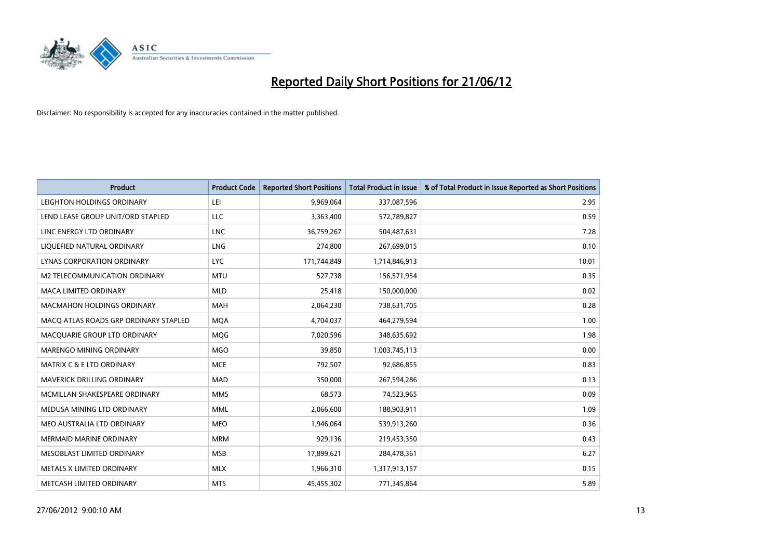

| <b>Product</b>                        | <b>Product Code</b> | <b>Reported Short Positions</b> | <b>Total Product in Issue</b> | % of Total Product in Issue Reported as Short Positions |
|---------------------------------------|---------------------|---------------------------------|-------------------------------|---------------------------------------------------------|
| LEIGHTON HOLDINGS ORDINARY            | LEI                 | 9,969,064                       | 337,087,596                   | 2.95                                                    |
| LEND LEASE GROUP UNIT/ORD STAPLED     | <b>LLC</b>          | 3,363,400                       | 572,789,827                   | 0.59                                                    |
| LINC ENERGY LTD ORDINARY              | <b>LNC</b>          | 36,759,267                      | 504,487,631                   | 7.28                                                    |
| LIQUEFIED NATURAL ORDINARY            | <b>LNG</b>          | 274,800                         | 267,699,015                   | 0.10                                                    |
| LYNAS CORPORATION ORDINARY            | <b>LYC</b>          | 171,744,849                     | 1,714,846,913                 | 10.01                                                   |
| <b>M2 TELECOMMUNICATION ORDINARY</b>  | <b>MTU</b>          | 527,738                         | 156,571,954                   | 0.35                                                    |
| <b>MACA LIMITED ORDINARY</b>          | <b>MLD</b>          | 25,418                          | 150,000,000                   | 0.02                                                    |
| MACMAHON HOLDINGS ORDINARY            | MAH                 | 2,064,230                       | 738,631,705                   | 0.28                                                    |
| MACO ATLAS ROADS GRP ORDINARY STAPLED | <b>MOA</b>          | 4,704,037                       | 464,279,594                   | 1.00                                                    |
| MACQUARIE GROUP LTD ORDINARY          | <b>MOG</b>          | 7,020,596                       | 348,635,692                   | 1.98                                                    |
| MARENGO MINING ORDINARY               | <b>MGO</b>          | 39,850                          | 1,003,745,113                 | 0.00                                                    |
| <b>MATRIX C &amp; E LTD ORDINARY</b>  | <b>MCE</b>          | 792,507                         | 92,686,855                    | 0.83                                                    |
| MAVERICK DRILLING ORDINARY            | <b>MAD</b>          | 350,000                         | 267,594,286                   | 0.13                                                    |
| MCMILLAN SHAKESPEARE ORDINARY         | <b>MMS</b>          | 68,573                          | 74,523,965                    | 0.09                                                    |
| MEDUSA MINING LTD ORDINARY            | <b>MML</b>          | 2,066,600                       | 188,903,911                   | 1.09                                                    |
| MEO AUSTRALIA LTD ORDINARY            | <b>MEO</b>          | 1,946,064                       | 539,913,260                   | 0.36                                                    |
| MERMAID MARINE ORDINARY               | <b>MRM</b>          | 929,136                         | 219,453,350                   | 0.43                                                    |
| MESOBLAST LIMITED ORDINARY            | <b>MSB</b>          | 17,899,621                      | 284,478,361                   | 6.27                                                    |
| METALS X LIMITED ORDINARY             | <b>MLX</b>          | 1,966,310                       | 1,317,913,157                 | 0.15                                                    |
| METCASH LIMITED ORDINARY              | <b>MTS</b>          | 45,455,302                      | 771,345,864                   | 5.89                                                    |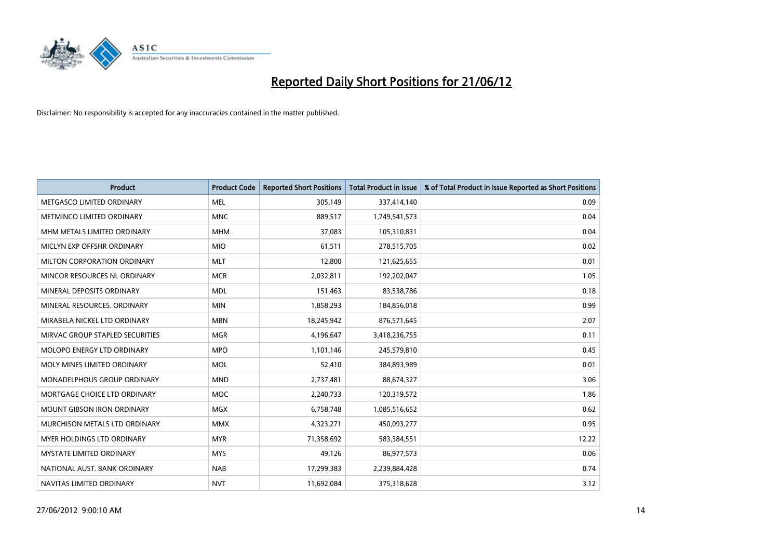

| <b>Product</b>                    | <b>Product Code</b> | <b>Reported Short Positions</b> | <b>Total Product in Issue</b> | % of Total Product in Issue Reported as Short Positions |
|-----------------------------------|---------------------|---------------------------------|-------------------------------|---------------------------------------------------------|
| METGASCO LIMITED ORDINARY         | <b>MEL</b>          | 305,149                         | 337,414,140                   | 0.09                                                    |
| METMINCO LIMITED ORDINARY         | <b>MNC</b>          | 889,517                         | 1,749,541,573                 | 0.04                                                    |
| MHM METALS LIMITED ORDINARY       | <b>MHM</b>          | 37,083                          | 105,310,831                   | 0.04                                                    |
| MICLYN EXP OFFSHR ORDINARY        | <b>MIO</b>          | 61,511                          | 278,515,705                   | 0.02                                                    |
| MILTON CORPORATION ORDINARY       | <b>MLT</b>          | 12,800                          | 121,625,655                   | 0.01                                                    |
| MINCOR RESOURCES NL ORDINARY      | <b>MCR</b>          | 2,032,811                       | 192,202,047                   | 1.05                                                    |
| MINERAL DEPOSITS ORDINARY         | <b>MDL</b>          | 151,463                         | 83,538,786                    | 0.18                                                    |
| MINERAL RESOURCES, ORDINARY       | <b>MIN</b>          | 1,858,293                       | 184,856,018                   | 0.99                                                    |
| MIRABELA NICKEL LTD ORDINARY      | <b>MBN</b>          | 18,245,942                      | 876,571,645                   | 2.07                                                    |
| MIRVAC GROUP STAPLED SECURITIES   | <b>MGR</b>          | 4,196,647                       | 3,418,236,755                 | 0.11                                                    |
| MOLOPO ENERGY LTD ORDINARY        | <b>MPO</b>          | 1,101,146                       | 245,579,810                   | 0.45                                                    |
| MOLY MINES LIMITED ORDINARY       | <b>MOL</b>          | 52,410                          | 384,893,989                   | 0.01                                                    |
| MONADELPHOUS GROUP ORDINARY       | <b>MND</b>          | 2,737,481                       | 88,674,327                    | 3.06                                                    |
| MORTGAGE CHOICE LTD ORDINARY      | MOC                 | 2,240,733                       | 120,319,572                   | 1.86                                                    |
| MOUNT GIBSON IRON ORDINARY        | <b>MGX</b>          | 6,758,748                       | 1,085,516,652                 | 0.62                                                    |
| MURCHISON METALS LTD ORDINARY     | <b>MMX</b>          | 4,323,271                       | 450,093,277                   | 0.95                                                    |
| <b>MYER HOLDINGS LTD ORDINARY</b> | <b>MYR</b>          | 71,358,692                      | 583,384,551                   | 12.22                                                   |
| <b>MYSTATE LIMITED ORDINARY</b>   | <b>MYS</b>          | 49.126                          | 86,977,573                    | 0.06                                                    |
| NATIONAL AUST, BANK ORDINARY      | <b>NAB</b>          | 17,299,383                      | 2,239,884,428                 | 0.74                                                    |
| NAVITAS LIMITED ORDINARY          | <b>NVT</b>          | 11,692,084                      | 375,318,628                   | 3.12                                                    |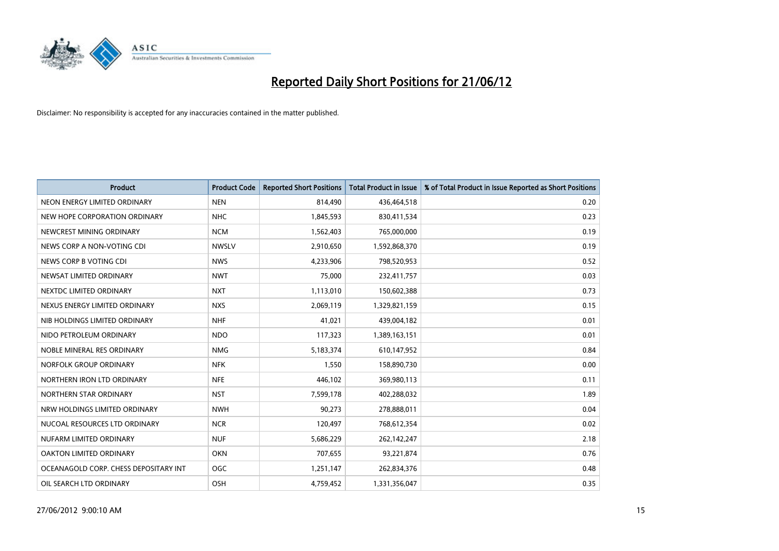

| <b>Product</b>                        | <b>Product Code</b> | <b>Reported Short Positions</b> | <b>Total Product in Issue</b> | % of Total Product in Issue Reported as Short Positions |
|---------------------------------------|---------------------|---------------------------------|-------------------------------|---------------------------------------------------------|
| NEON ENERGY LIMITED ORDINARY          | <b>NEN</b>          | 814,490                         | 436,464,518                   | 0.20                                                    |
| NEW HOPE CORPORATION ORDINARY         | <b>NHC</b>          | 1,845,593                       | 830,411,534                   | 0.23                                                    |
| NEWCREST MINING ORDINARY              | <b>NCM</b>          | 1,562,403                       | 765,000,000                   | 0.19                                                    |
| NEWS CORP A NON-VOTING CDI            | <b>NWSLV</b>        | 2,910,650                       | 1,592,868,370                 | 0.19                                                    |
| NEWS CORP B VOTING CDI                | <b>NWS</b>          | 4,233,906                       | 798,520,953                   | 0.52                                                    |
| NEWSAT LIMITED ORDINARY               | <b>NWT</b>          | 75,000                          | 232,411,757                   | 0.03                                                    |
| NEXTDC LIMITED ORDINARY               | <b>NXT</b>          | 1,113,010                       | 150,602,388                   | 0.73                                                    |
| NEXUS ENERGY LIMITED ORDINARY         | <b>NXS</b>          | 2,069,119                       | 1,329,821,159                 | 0.15                                                    |
| NIB HOLDINGS LIMITED ORDINARY         | <b>NHF</b>          | 41,021                          | 439,004,182                   | 0.01                                                    |
| NIDO PETROLEUM ORDINARY               | <b>NDO</b>          | 117,323                         | 1,389,163,151                 | 0.01                                                    |
| NOBLE MINERAL RES ORDINARY            | <b>NMG</b>          | 5,183,374                       | 610,147,952                   | 0.84                                                    |
| NORFOLK GROUP ORDINARY                | <b>NFK</b>          | 1,550                           | 158,890,730                   | 0.00                                                    |
| NORTHERN IRON LTD ORDINARY            | <b>NFE</b>          | 446,102                         | 369,980,113                   | 0.11                                                    |
| NORTHERN STAR ORDINARY                | <b>NST</b>          | 7,599,178                       | 402,288,032                   | 1.89                                                    |
| NRW HOLDINGS LIMITED ORDINARY         | <b>NWH</b>          | 90,273                          | 278,888,011                   | 0.04                                                    |
| NUCOAL RESOURCES LTD ORDINARY         | <b>NCR</b>          | 120,497                         | 768,612,354                   | 0.02                                                    |
| NUFARM LIMITED ORDINARY               | <b>NUF</b>          | 5,686,229                       | 262,142,247                   | 2.18                                                    |
| OAKTON LIMITED ORDINARY               | <b>OKN</b>          | 707,655                         | 93,221,874                    | 0.76                                                    |
| OCEANAGOLD CORP. CHESS DEPOSITARY INT | <b>OGC</b>          | 1,251,147                       | 262,834,376                   | 0.48                                                    |
| OIL SEARCH LTD ORDINARY               | OSH                 | 4,759,452                       | 1,331,356,047                 | 0.35                                                    |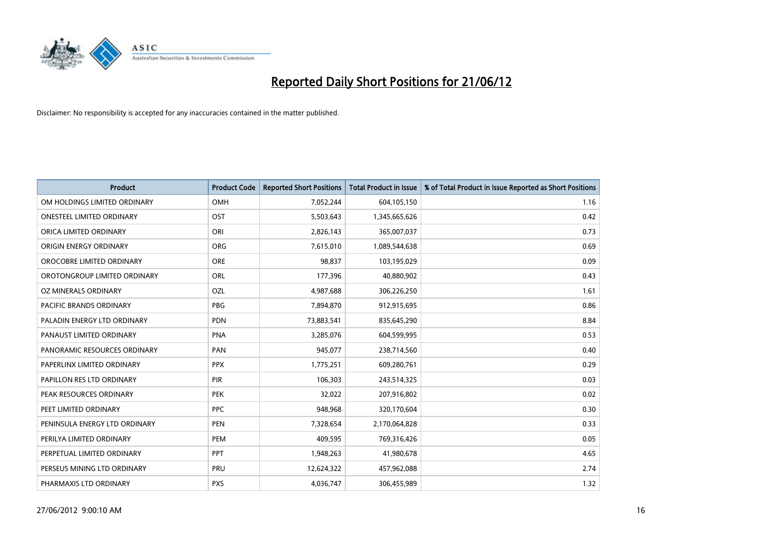

| <b>Product</b>                | <b>Product Code</b> | <b>Reported Short Positions</b> | <b>Total Product in Issue</b> | % of Total Product in Issue Reported as Short Positions |
|-------------------------------|---------------------|---------------------------------|-------------------------------|---------------------------------------------------------|
| OM HOLDINGS LIMITED ORDINARY  | <b>OMH</b>          | 7,052,244                       | 604,105,150                   | 1.16                                                    |
| ONESTEEL LIMITED ORDINARY     | OST                 | 5,503,643                       | 1,345,665,626                 | 0.42                                                    |
| ORICA LIMITED ORDINARY        | ORI                 | 2,826,143                       | 365,007,037                   | 0.73                                                    |
| ORIGIN ENERGY ORDINARY        | <b>ORG</b>          | 7,615,010                       | 1,089,544,638                 | 0.69                                                    |
| OROCOBRE LIMITED ORDINARY     | <b>ORE</b>          | 98,837                          | 103,195,029                   | 0.09                                                    |
| OROTONGROUP LIMITED ORDINARY  | ORL                 | 177,396                         | 40,880,902                    | 0.43                                                    |
| OZ MINERALS ORDINARY          | OZL                 | 4,987,688                       | 306,226,250                   | 1.61                                                    |
| PACIFIC BRANDS ORDINARY       | <b>PBG</b>          | 7,894,870                       | 912,915,695                   | 0.86                                                    |
| PALADIN ENERGY LTD ORDINARY   | <b>PDN</b>          | 73,883,541                      | 835,645,290                   | 8.84                                                    |
| PANAUST LIMITED ORDINARY      | <b>PNA</b>          | 3,285,076                       | 604,599,995                   | 0.53                                                    |
| PANORAMIC RESOURCES ORDINARY  | PAN                 | 945,077                         | 238,714,560                   | 0.40                                                    |
| PAPERLINX LIMITED ORDINARY    | <b>PPX</b>          | 1,775,251                       | 609,280,761                   | 0.29                                                    |
| PAPILLON RES LTD ORDINARY     | PIR                 | 106,303                         | 243,514,325                   | 0.03                                                    |
| PEAK RESOURCES ORDINARY       | <b>PEK</b>          | 32,022                          | 207,916,802                   | 0.02                                                    |
| PEET LIMITED ORDINARY         | <b>PPC</b>          | 948,968                         | 320,170,604                   | 0.30                                                    |
| PENINSULA ENERGY LTD ORDINARY | PEN                 | 7,328,654                       | 2,170,064,828                 | 0.33                                                    |
| PERILYA LIMITED ORDINARY      | PEM                 | 409,595                         | 769,316,426                   | 0.05                                                    |
| PERPETUAL LIMITED ORDINARY    | PPT                 | 1,948,263                       | 41,980,678                    | 4.65                                                    |
| PERSEUS MINING LTD ORDINARY   | PRU                 | 12,624,322                      | 457,962,088                   | 2.74                                                    |
| PHARMAXIS LTD ORDINARY        | <b>PXS</b>          | 4,036,747                       | 306,455,989                   | 1.32                                                    |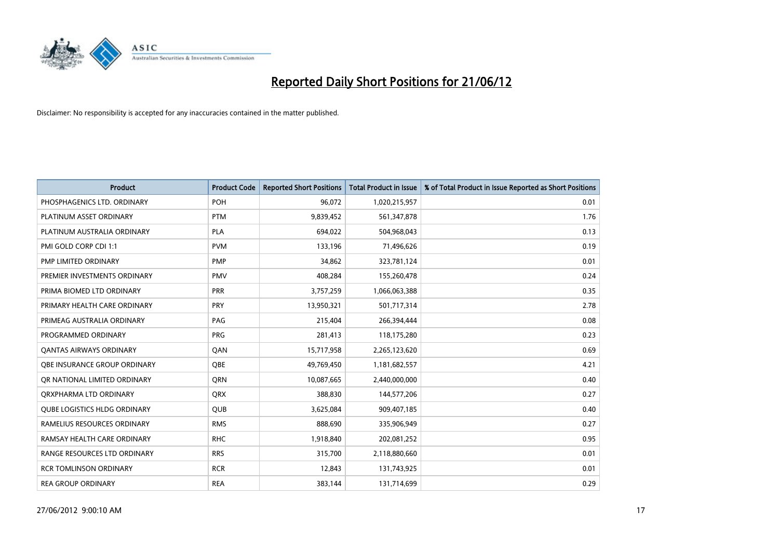

| <b>Product</b>                      | <b>Product Code</b> | <b>Reported Short Positions</b> | <b>Total Product in Issue</b> | % of Total Product in Issue Reported as Short Positions |
|-------------------------------------|---------------------|---------------------------------|-------------------------------|---------------------------------------------------------|
| PHOSPHAGENICS LTD. ORDINARY         | <b>POH</b>          | 96,072                          | 1,020,215,957                 | 0.01                                                    |
| PLATINUM ASSET ORDINARY             | <b>PTM</b>          | 9,839,452                       | 561,347,878                   | 1.76                                                    |
| PLATINUM AUSTRALIA ORDINARY         | <b>PLA</b>          | 694,022                         | 504,968,043                   | 0.13                                                    |
| PMI GOLD CORP CDI 1:1               | <b>PVM</b>          | 133,196                         | 71,496,626                    | 0.19                                                    |
| PMP LIMITED ORDINARY                | <b>PMP</b>          | 34,862                          | 323,781,124                   | 0.01                                                    |
| PREMIER INVESTMENTS ORDINARY        | <b>PMV</b>          | 408,284                         | 155,260,478                   | 0.24                                                    |
| PRIMA BIOMED LTD ORDINARY           | <b>PRR</b>          | 3,757,259                       | 1,066,063,388                 | 0.35                                                    |
| PRIMARY HEALTH CARE ORDINARY        | <b>PRY</b>          | 13,950,321                      | 501,717,314                   | 2.78                                                    |
| PRIMEAG AUSTRALIA ORDINARY          | PAG                 | 215,404                         | 266,394,444                   | 0.08                                                    |
| PROGRAMMED ORDINARY                 | <b>PRG</b>          | 281,413                         | 118,175,280                   | 0.23                                                    |
| <b>QANTAS AIRWAYS ORDINARY</b>      | QAN                 | 15,717,958                      | 2,265,123,620                 | 0.69                                                    |
| <b>OBE INSURANCE GROUP ORDINARY</b> | <b>OBE</b>          | 49,769,450                      | 1,181,682,557                 | 4.21                                                    |
| OR NATIONAL LIMITED ORDINARY        | <b>ORN</b>          | 10,087,665                      | 2,440,000,000                 | 0.40                                                    |
| ORXPHARMA LTD ORDINARY              | <b>QRX</b>          | 388,830                         | 144,577,206                   | 0.27                                                    |
| <b>QUBE LOGISTICS HLDG ORDINARY</b> | QUB                 | 3,625,084                       | 909,407,185                   | 0.40                                                    |
| RAMELIUS RESOURCES ORDINARY         | <b>RMS</b>          | 888,690                         | 335,906,949                   | 0.27                                                    |
| RAMSAY HEALTH CARE ORDINARY         | <b>RHC</b>          | 1,918,840                       | 202,081,252                   | 0.95                                                    |
| RANGE RESOURCES LTD ORDINARY        | <b>RRS</b>          | 315,700                         | 2,118,880,660                 | 0.01                                                    |
| <b>RCR TOMLINSON ORDINARY</b>       | <b>RCR</b>          | 12,843                          | 131,743,925                   | 0.01                                                    |
| <b>REA GROUP ORDINARY</b>           | <b>REA</b>          | 383,144                         | 131,714,699                   | 0.29                                                    |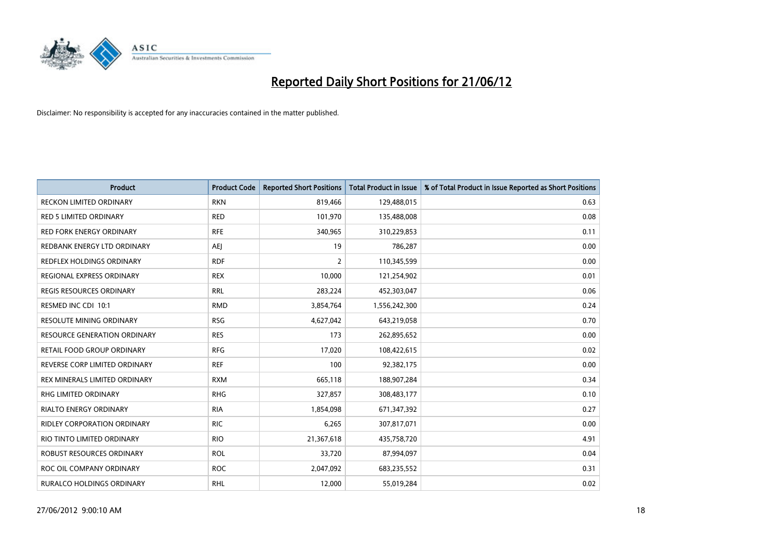

| Product                             | <b>Product Code</b> | <b>Reported Short Positions</b> | <b>Total Product in Issue</b> | % of Total Product in Issue Reported as Short Positions |
|-------------------------------------|---------------------|---------------------------------|-------------------------------|---------------------------------------------------------|
| <b>RECKON LIMITED ORDINARY</b>      | <b>RKN</b>          | 819,466                         | 129,488,015                   | 0.63                                                    |
| <b>RED 5 LIMITED ORDINARY</b>       | <b>RED</b>          | 101,970                         | 135,488,008                   | 0.08                                                    |
| RED FORK ENERGY ORDINARY            | <b>RFE</b>          | 340,965                         | 310,229,853                   | 0.11                                                    |
| REDBANK ENERGY LTD ORDINARY         | <b>AEJ</b>          | 19                              | 786,287                       | 0.00                                                    |
| REDFLEX HOLDINGS ORDINARY           | <b>RDF</b>          | $\overline{2}$                  | 110,345,599                   | 0.00                                                    |
| REGIONAL EXPRESS ORDINARY           | <b>REX</b>          | 10,000                          | 121,254,902                   | 0.01                                                    |
| <b>REGIS RESOURCES ORDINARY</b>     | <b>RRL</b>          | 283,224                         | 452,303,047                   | 0.06                                                    |
| RESMED INC CDI 10:1                 | <b>RMD</b>          | 3,854,764                       | 1,556,242,300                 | 0.24                                                    |
| <b>RESOLUTE MINING ORDINARY</b>     | <b>RSG</b>          | 4,627,042                       | 643,219,058                   | 0.70                                                    |
| <b>RESOURCE GENERATION ORDINARY</b> | <b>RES</b>          | 173                             | 262,895,652                   | 0.00                                                    |
| RETAIL FOOD GROUP ORDINARY          | <b>RFG</b>          | 17,020                          | 108,422,615                   | 0.02                                                    |
| REVERSE CORP LIMITED ORDINARY       | <b>REF</b>          | 100                             | 92,382,175                    | 0.00                                                    |
| REX MINERALS LIMITED ORDINARY       | <b>RXM</b>          | 665,118                         | 188,907,284                   | 0.34                                                    |
| <b>RHG LIMITED ORDINARY</b>         | <b>RHG</b>          | 327,857                         | 308,483,177                   | 0.10                                                    |
| <b>RIALTO ENERGY ORDINARY</b>       | <b>RIA</b>          | 1,854,098                       | 671,347,392                   | 0.27                                                    |
| <b>RIDLEY CORPORATION ORDINARY</b>  | <b>RIC</b>          | 6,265                           | 307,817,071                   | 0.00                                                    |
| RIO TINTO LIMITED ORDINARY          | <b>RIO</b>          | 21,367,618                      | 435,758,720                   | 4.91                                                    |
| ROBUST RESOURCES ORDINARY           | <b>ROL</b>          | 33,720                          | 87,994,097                    | 0.04                                                    |
| ROC OIL COMPANY ORDINARY            | <b>ROC</b>          | 2,047,092                       | 683,235,552                   | 0.31                                                    |
| RURALCO HOLDINGS ORDINARY           | <b>RHL</b>          | 12,000                          | 55,019,284                    | 0.02                                                    |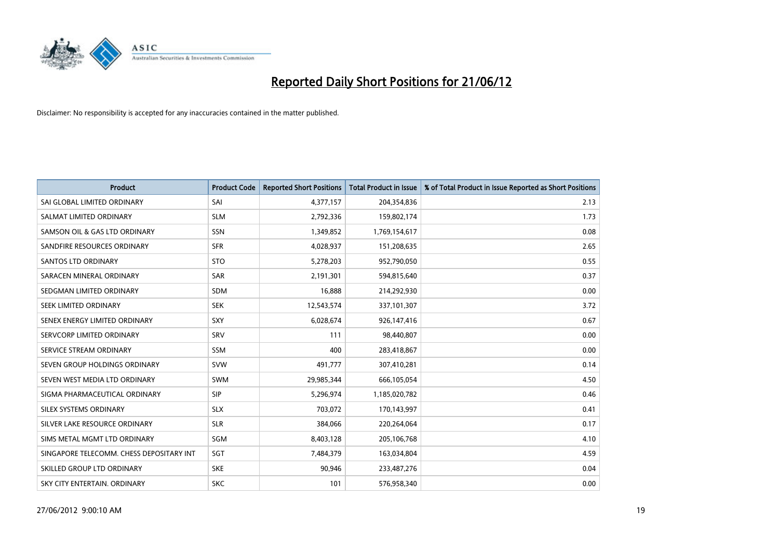

| <b>Product</b>                           | <b>Product Code</b> | <b>Reported Short Positions</b> | <b>Total Product in Issue</b> | % of Total Product in Issue Reported as Short Positions |
|------------------------------------------|---------------------|---------------------------------|-------------------------------|---------------------------------------------------------|
| SAI GLOBAL LIMITED ORDINARY              | SAI                 | 4,377,157                       | 204,354,836                   | 2.13                                                    |
| SALMAT LIMITED ORDINARY                  | <b>SLM</b>          | 2,792,336                       | 159,802,174                   | 1.73                                                    |
| SAMSON OIL & GAS LTD ORDINARY            | SSN                 | 1,349,852                       | 1,769,154,617                 | 0.08                                                    |
| SANDFIRE RESOURCES ORDINARY              | <b>SFR</b>          | 4,028,937                       | 151,208,635                   | 2.65                                                    |
| <b>SANTOS LTD ORDINARY</b>               | <b>STO</b>          | 5,278,203                       | 952,790,050                   | 0.55                                                    |
| SARACEN MINERAL ORDINARY                 | <b>SAR</b>          | 2,191,301                       | 594,815,640                   | 0.37                                                    |
| SEDGMAN LIMITED ORDINARY                 | <b>SDM</b>          | 16,888                          | 214,292,930                   | 0.00                                                    |
| SEEK LIMITED ORDINARY                    | <b>SEK</b>          | 12,543,574                      | 337,101,307                   | 3.72                                                    |
| SENEX ENERGY LIMITED ORDINARY            | <b>SXY</b>          | 6,028,674                       | 926,147,416                   | 0.67                                                    |
| SERVCORP LIMITED ORDINARY                | SRV                 | 111                             | 98,440,807                    | 0.00                                                    |
| SERVICE STREAM ORDINARY                  | <b>SSM</b>          | 400                             | 283,418,867                   | 0.00                                                    |
| SEVEN GROUP HOLDINGS ORDINARY            | <b>SVW</b>          | 491,777                         | 307,410,281                   | 0.14                                                    |
| SEVEN WEST MEDIA LTD ORDINARY            | <b>SWM</b>          | 29,985,344                      | 666,105,054                   | 4.50                                                    |
| SIGMA PHARMACEUTICAL ORDINARY            | <b>SIP</b>          | 5,296,974                       | 1,185,020,782                 | 0.46                                                    |
| SILEX SYSTEMS ORDINARY                   | <b>SLX</b>          | 703,072                         | 170,143,997                   | 0.41                                                    |
| SILVER LAKE RESOURCE ORDINARY            | <b>SLR</b>          | 384,066                         | 220,264,064                   | 0.17                                                    |
| SIMS METAL MGMT LTD ORDINARY             | SGM                 | 8,403,128                       | 205,106,768                   | 4.10                                                    |
| SINGAPORE TELECOMM. CHESS DEPOSITARY INT | SGT                 | 7,484,379                       | 163,034,804                   | 4.59                                                    |
| SKILLED GROUP LTD ORDINARY               | <b>SKE</b>          | 90,946                          | 233,487,276                   | 0.04                                                    |
| SKY CITY ENTERTAIN. ORDINARY             | <b>SKC</b>          | 101                             | 576,958,340                   | 0.00                                                    |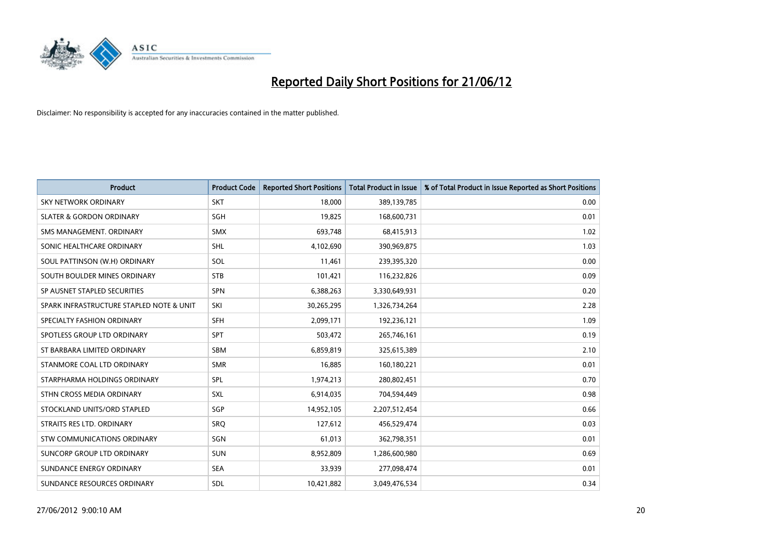

| <b>Product</b>                           | <b>Product Code</b> | <b>Reported Short Positions</b> | <b>Total Product in Issue</b> | % of Total Product in Issue Reported as Short Positions |
|------------------------------------------|---------------------|---------------------------------|-------------------------------|---------------------------------------------------------|
| <b>SKY NETWORK ORDINARY</b>              | <b>SKT</b>          | 18,000                          | 389,139,785                   | 0.00                                                    |
| <b>SLATER &amp; GORDON ORDINARY</b>      | <b>SGH</b>          | 19,825                          | 168,600,731                   | 0.01                                                    |
| SMS MANAGEMENT, ORDINARY                 | <b>SMX</b>          | 693,748                         | 68,415,913                    | 1.02                                                    |
| SONIC HEALTHCARE ORDINARY                | SHL                 | 4,102,690                       | 390,969,875                   | 1.03                                                    |
| SOUL PATTINSON (W.H) ORDINARY            | SOL                 | 11,461                          | 239,395,320                   | 0.00                                                    |
| SOUTH BOULDER MINES ORDINARY             | <b>STB</b>          | 101,421                         | 116,232,826                   | 0.09                                                    |
| SP AUSNET STAPLED SECURITIES             | <b>SPN</b>          | 6,388,263                       | 3,330,649,931                 | 0.20                                                    |
| SPARK INFRASTRUCTURE STAPLED NOTE & UNIT | SKI                 | 30,265,295                      | 1,326,734,264                 | 2.28                                                    |
| SPECIALTY FASHION ORDINARY               | SFH                 | 2,099,171                       | 192,236,121                   | 1.09                                                    |
| SPOTLESS GROUP LTD ORDINARY              | <b>SPT</b>          | 503,472                         | 265,746,161                   | 0.19                                                    |
| ST BARBARA LIMITED ORDINARY              | <b>SBM</b>          | 6,859,819                       | 325,615,389                   | 2.10                                                    |
| STANMORE COAL LTD ORDINARY               | <b>SMR</b>          | 16,885                          | 160,180,221                   | 0.01                                                    |
| STARPHARMA HOLDINGS ORDINARY             | SPL                 | 1,974,213                       | 280,802,451                   | 0.70                                                    |
| STHN CROSS MEDIA ORDINARY                | SXL                 | 6,914,035                       | 704,594,449                   | 0.98                                                    |
| STOCKLAND UNITS/ORD STAPLED              | SGP                 | 14,952,105                      | 2,207,512,454                 | 0.66                                                    |
| STRAITS RES LTD. ORDINARY                | SRQ                 | 127,612                         | 456,529,474                   | 0.03                                                    |
| STW COMMUNICATIONS ORDINARY              | SGN                 | 61,013                          | 362,798,351                   | 0.01                                                    |
| SUNCORP GROUP LTD ORDINARY               | <b>SUN</b>          | 8,952,809                       | 1,286,600,980                 | 0.69                                                    |
| SUNDANCE ENERGY ORDINARY                 | <b>SEA</b>          | 33,939                          | 277,098,474                   | 0.01                                                    |
| SUNDANCE RESOURCES ORDINARY              | <b>SDL</b>          | 10,421,882                      | 3,049,476,534                 | 0.34                                                    |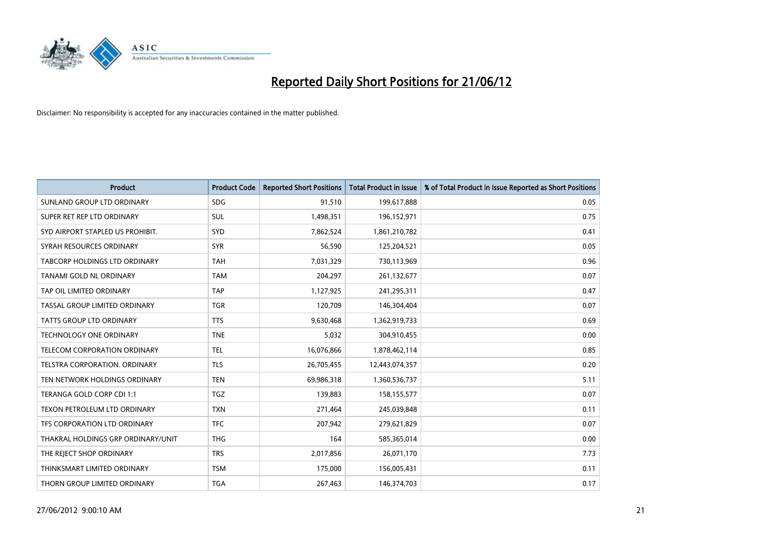

| <b>Product</b>                       | <b>Product Code</b> | <b>Reported Short Positions</b> | <b>Total Product in Issue</b> | % of Total Product in Issue Reported as Short Positions |
|--------------------------------------|---------------------|---------------------------------|-------------------------------|---------------------------------------------------------|
| SUNLAND GROUP LTD ORDINARY           | <b>SDG</b>          | 91,510                          | 199,617,888                   | 0.05                                                    |
| SUPER RET REP LTD ORDINARY           | SUL                 | 1,498,351                       | 196,152,971                   | 0.75                                                    |
| SYD AIRPORT STAPLED US PROHIBIT.     | <b>SYD</b>          | 7,862,524                       | 1,861,210,782                 | 0.41                                                    |
| SYRAH RESOURCES ORDINARY             | <b>SYR</b>          | 56,590                          | 125,204,521                   | 0.05                                                    |
| <b>TABCORP HOLDINGS LTD ORDINARY</b> | <b>TAH</b>          | 7,031,329                       | 730,113,969                   | 0.96                                                    |
| TANAMI GOLD NL ORDINARY              | <b>TAM</b>          | 204,297                         | 261,132,677                   | 0.07                                                    |
| TAP OIL LIMITED ORDINARY             | <b>TAP</b>          | 1,127,925                       | 241,295,311                   | 0.47                                                    |
| TASSAL GROUP LIMITED ORDINARY        | <b>TGR</b>          | 120,709                         | 146,304,404                   | 0.07                                                    |
| <b>TATTS GROUP LTD ORDINARY</b>      | <b>TTS</b>          | 9,630,468                       | 1,362,919,733                 | 0.69                                                    |
| <b>TECHNOLOGY ONE ORDINARY</b>       | <b>TNE</b>          | 5,032                           | 304,910,455                   | 0.00                                                    |
| TELECOM CORPORATION ORDINARY         | <b>TEL</b>          | 16,076,866                      | 1,878,462,114                 | 0.85                                                    |
| TELSTRA CORPORATION. ORDINARY        | <b>TLS</b>          | 26,705,455                      | 12,443,074,357                | 0.20                                                    |
| TEN NETWORK HOLDINGS ORDINARY        | <b>TEN</b>          | 69,986,318                      | 1,360,536,737                 | 5.11                                                    |
| TERANGA GOLD CORP CDI 1:1            | <b>TGZ</b>          | 139,883                         | 158,155,577                   | 0.07                                                    |
| TEXON PETROLEUM LTD ORDINARY         | <b>TXN</b>          | 271,464                         | 245,039,848                   | 0.11                                                    |
| TFS CORPORATION LTD ORDINARY         | <b>TFC</b>          | 207,942                         | 279,621,829                   | 0.07                                                    |
| THAKRAL HOLDINGS GRP ORDINARY/UNIT   | <b>THG</b>          | 164                             | 585,365,014                   | 0.00                                                    |
| THE REJECT SHOP ORDINARY             | <b>TRS</b>          | 2,017,856                       | 26,071,170                    | 7.73                                                    |
| THINKSMART LIMITED ORDINARY          | <b>TSM</b>          | 175,000                         | 156,005,431                   | 0.11                                                    |
| THORN GROUP LIMITED ORDINARY         | <b>TGA</b>          | 267,463                         | 146,374,703                   | 0.17                                                    |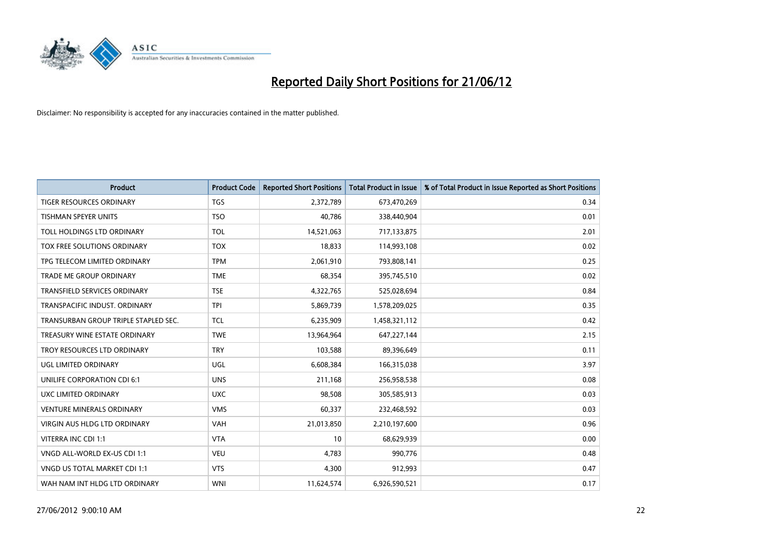

| <b>Product</b>                       | <b>Product Code</b> | <b>Reported Short Positions</b> | <b>Total Product in Issue</b> | % of Total Product in Issue Reported as Short Positions |
|--------------------------------------|---------------------|---------------------------------|-------------------------------|---------------------------------------------------------|
| <b>TIGER RESOURCES ORDINARY</b>      | <b>TGS</b>          | 2,372,789                       | 673,470,269                   | 0.34                                                    |
| TISHMAN SPEYER UNITS                 | <b>TSO</b>          | 40,786                          | 338,440,904                   | 0.01                                                    |
| TOLL HOLDINGS LTD ORDINARY           | <b>TOL</b>          | 14,521,063                      | 717,133,875                   | 2.01                                                    |
| TOX FREE SOLUTIONS ORDINARY          | <b>TOX</b>          | 18,833                          | 114,993,108                   | 0.02                                                    |
| TPG TELECOM LIMITED ORDINARY         | <b>TPM</b>          | 2,061,910                       | 793,808,141                   | 0.25                                                    |
| <b>TRADE ME GROUP ORDINARY</b>       | <b>TME</b>          | 68,354                          | 395,745,510                   | 0.02                                                    |
| TRANSFIELD SERVICES ORDINARY         | <b>TSE</b>          | 4,322,765                       | 525,028,694                   | 0.84                                                    |
| TRANSPACIFIC INDUST. ORDINARY        | <b>TPI</b>          | 5,869,739                       | 1,578,209,025                 | 0.35                                                    |
| TRANSURBAN GROUP TRIPLE STAPLED SEC. | <b>TCL</b>          | 6,235,909                       | 1,458,321,112                 | 0.42                                                    |
| TREASURY WINE ESTATE ORDINARY        | <b>TWE</b>          | 13,964,964                      | 647,227,144                   | 2.15                                                    |
| TROY RESOURCES LTD ORDINARY          | <b>TRY</b>          | 103,588                         | 89,396,649                    | 0.11                                                    |
| UGL LIMITED ORDINARY                 | UGL                 | 6,608,384                       | 166,315,038                   | 3.97                                                    |
| UNILIFE CORPORATION CDI 6:1          | <b>UNS</b>          | 211,168                         | 256,958,538                   | 0.08                                                    |
| UXC LIMITED ORDINARY                 | <b>UXC</b>          | 98,508                          | 305,585,913                   | 0.03                                                    |
| <b>VENTURE MINERALS ORDINARY</b>     | <b>VMS</b>          | 60,337                          | 232,468,592                   | 0.03                                                    |
| VIRGIN AUS HLDG LTD ORDINARY         | VAH                 | 21,013,850                      | 2,210,197,600                 | 0.96                                                    |
| VITERRA INC CDI 1:1                  | <b>VTA</b>          | 10                              | 68,629,939                    | 0.00                                                    |
| VNGD ALL-WORLD EX-US CDI 1:1         | <b>VEU</b>          | 4,783                           | 990,776                       | 0.48                                                    |
| VNGD US TOTAL MARKET CDI 1:1         | <b>VTS</b>          | 4,300                           | 912,993                       | 0.47                                                    |
| WAH NAM INT HLDG LTD ORDINARY        | <b>WNI</b>          | 11,624,574                      | 6,926,590,521                 | 0.17                                                    |